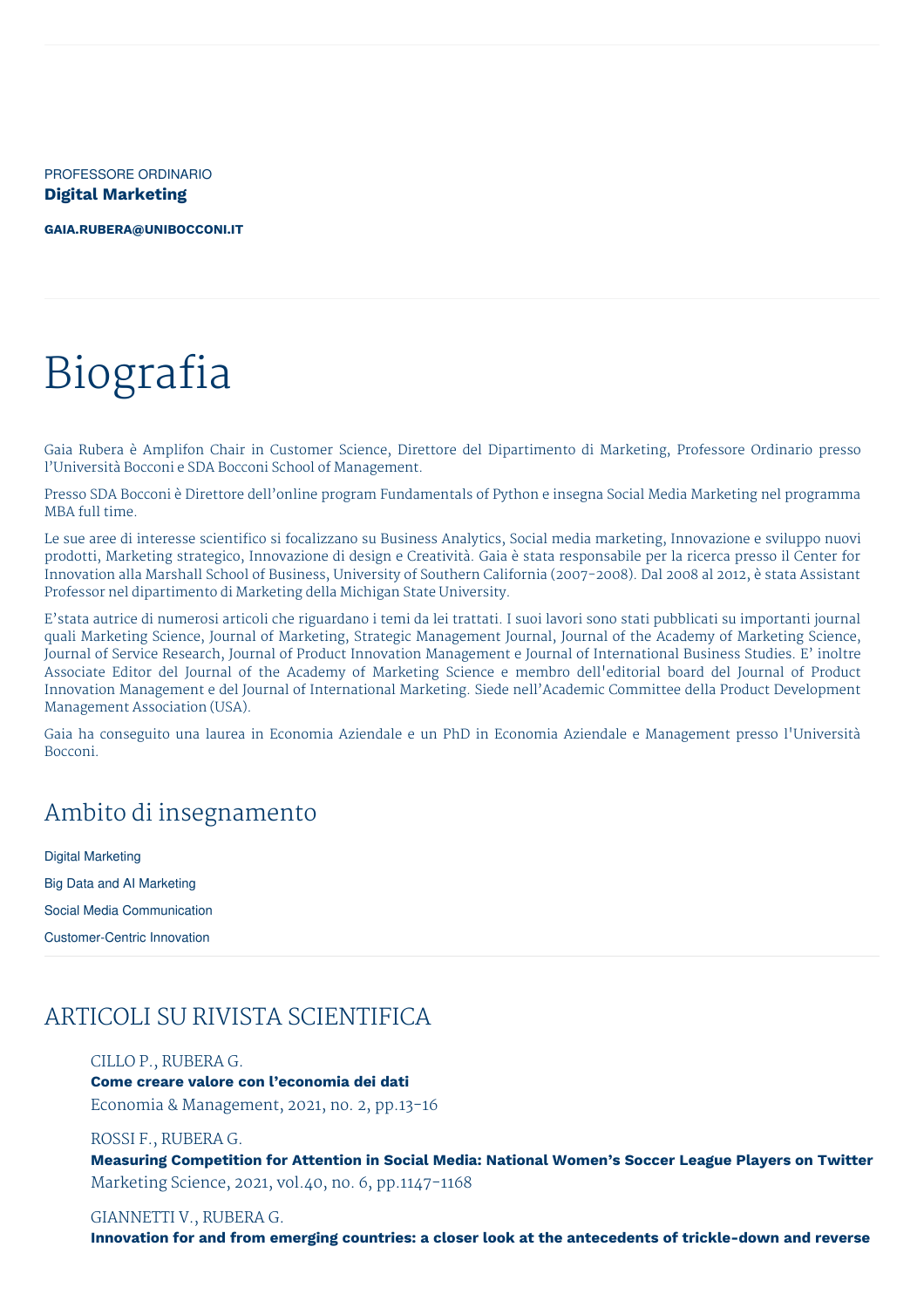PROFESSORE ORDINARIO **Digital Marketing**

**[GAIA.RUBERA@UNIBOCCONI.IT](mailto:gaia.rubera@unibocconi.it)**

# Biografia

Gaia Rubera è Amplifon Chair in Customer Science, Direttore del Dipartimento di Marketing, Professore Ordinario presso l'Università Bocconi e SDA Bocconi School of Management.

Presso SDA Bocconi è Direttore dell'online program Fundamentals of Python e insegna Social Media Marketing nel programma MBA full time.

Le sue aree di interesse scientifico si focalizzano su Business Analytics, Social media marketing, Innovazione e sviluppo nuovi prodotti, Marketing strategico, Innovazione di design e Creatività. Gaia è stata responsabile per la ricerca presso il Center for Innovation alla Marshall School of Business, University of Southern California (2007-2008). Dal 2008 al 2012, è stata Assistant Professor nel dipartimento di Marketing della Michigan State University.

E'stata autrice di numerosi articoli che riguardano i temi da lei trattati. I suoi lavori sono stati pubblicati su importanti journal quali Marketing Science, Journal of Marketing, Strategic Management Journal, Journal of the Academy of Marketing Science, Journal of Service Research, Journal of Product Innovation Management e Journal of International Business Studies. E' inoltre Associate Editor del Journal of the Academy of Marketing Science e membro dell'editorial board del Journal of Product Innovation Management e del Journal of International Marketing. Siede nell'Academic Committee della Product Development Management Association (USA).

Gaia ha conseguito una laurea in Economia Aziendale e un PhD in Economia Aziendale e Management presso l'Università Bocconi.

# Ambito di insegnamento

Digital Marketing Big Data and AI Marketing Social Media Communication Customer-Centric Innovation

# ARTICOLI SU RIVISTA SCIENTIFICA

#### CILLO P., RUBERA G.

**Come creare valore con l'economia dei dati** Economia & Management, 2021, no. 2, pp.13-16

#### ROSSI F., RUBERA G.

**Measuring Competition for Attention in Social Media: National Women's Soccer League Players on Twitter** Marketing Science, 2021, vol.40, no. 6, pp.1147-1168

# GIANNETTI V., RUBERA G.

**Innovation for and from emerging countries: a closer look at the antecedents of trickle-down and reverse**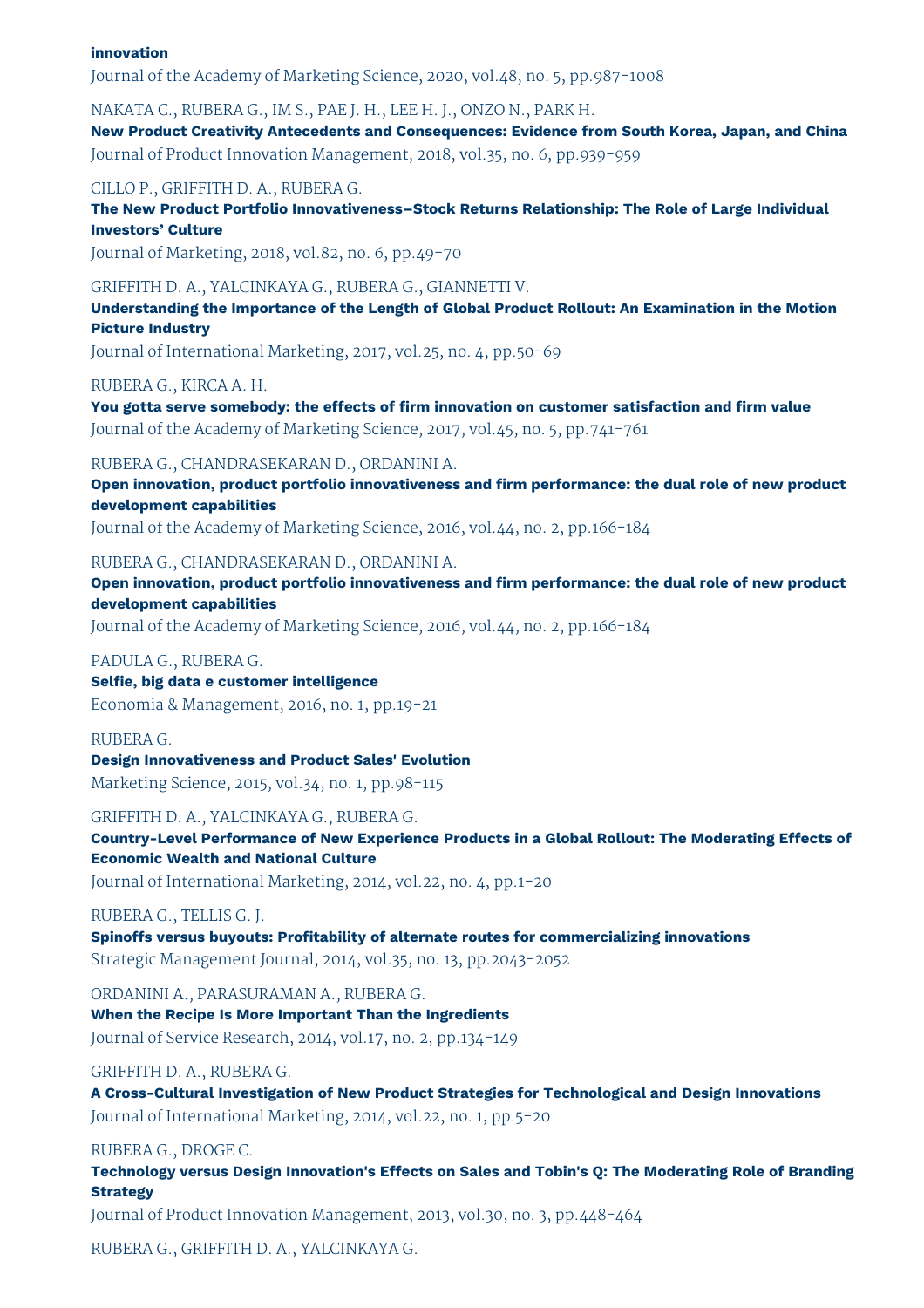# **innovation**

Journal of the Academy of Marketing Science, 2020, vol.48, no. 5, pp.987-1008

NAKATA C., RUBERA G., IM S., PAE J. H., LEE H. J., ONZO N., PARK H.

**New Product Creativity Antecedents and Consequences: Evidence from South Korea, Japan, and China** Journal of Product Innovation Management, 2018, vol.35, no. 6, pp.939-959

CILLO P., GRIFFITH D. A., RUBERA G.

**The New Product Portfolio Innovativeness–Stock Returns Relationship: The Role of Large Individual Investors' Culture**

Journal of Marketing, 2018, vol.82, no. 6, pp.49-70

GRIFFITH D. A., YALCINKAYA G., RUBERA G., GIANNETTI V.

**Understanding the Importance of the Length of Global Product Rollout: An Examination in the Motion Picture Industry**

Journal of International Marketing, 2017, vol.25, no. 4, pp.50-69

RUBERA G., KIRCA A. H.

**You gotta serve somebody: the effects of firm innovation on customer satisfaction and firm value** Journal of the Academy of Marketing Science, 2017, vol.45, no. 5, pp.741-761

RUBERA G., CHANDRASEKARAN D., ORDANINI A.

**Open innovation, product portfolio innovativeness and firm performance: the dual role of new product development capabilities**

Journal of the Academy of Marketing Science, 2016, vol.44, no. 2, pp.166-184

RUBERA G., CHANDRASEKARAN D., ORDANINI A.

**Open innovation, product portfolio innovativeness and firm performance: the dual role of new product development capabilities**

Journal of the Academy of Marketing Science, 2016, vol.44, no. 2, pp.166-184

PADULA G., RUBERA G.

**Selfie, big data e customer intelligence** Economia & Management, 2016, no. 1, pp.19-21

RUBERA G. **Design Innovativeness and Product Sales' Evolution** Marketing Science, 2015, vol.34, no. 1, pp.98-115

GRIFFITH D. A., YALCINKAYA G., RUBERA G. **Country-Level Performance of New Experience Products in a Global Rollout: The Moderating Effects of**

**Economic Wealth and National Culture** Journal of International Marketing, 2014, vol.22, no. 4, pp.1-20

# RUBERA G., TELLIS G. J.

**Spinoffs versus buyouts: Profitability of alternate routes for commercializing innovations** Strategic Management Journal, 2014, vol.35, no. 13, pp.2043-2052

ORDANINI A., PARASURAMAN A., RUBERA G. **When the Recipe Is More Important Than the Ingredients** Journal of Service Research, 2014, vol.17, no. 2, pp.134-149

GRIFFITH D. A., RUBERA G.

**A Cross-Cultural Investigation of New Product Strategies for Technological and Design Innovations** Journal of International Marketing, 2014, vol.22, no. 1, pp.5-20

RUBERA G., DROGE C.

**Technology versus Design Innovation's Effects on Sales and Tobin's Q: The Moderating Role of Branding Strategy**

Journal of Product Innovation Management, 2013, vol.30, no. 3, pp.448-464

RUBERA G., GRIFFITH D. A., YALCINKAYA G.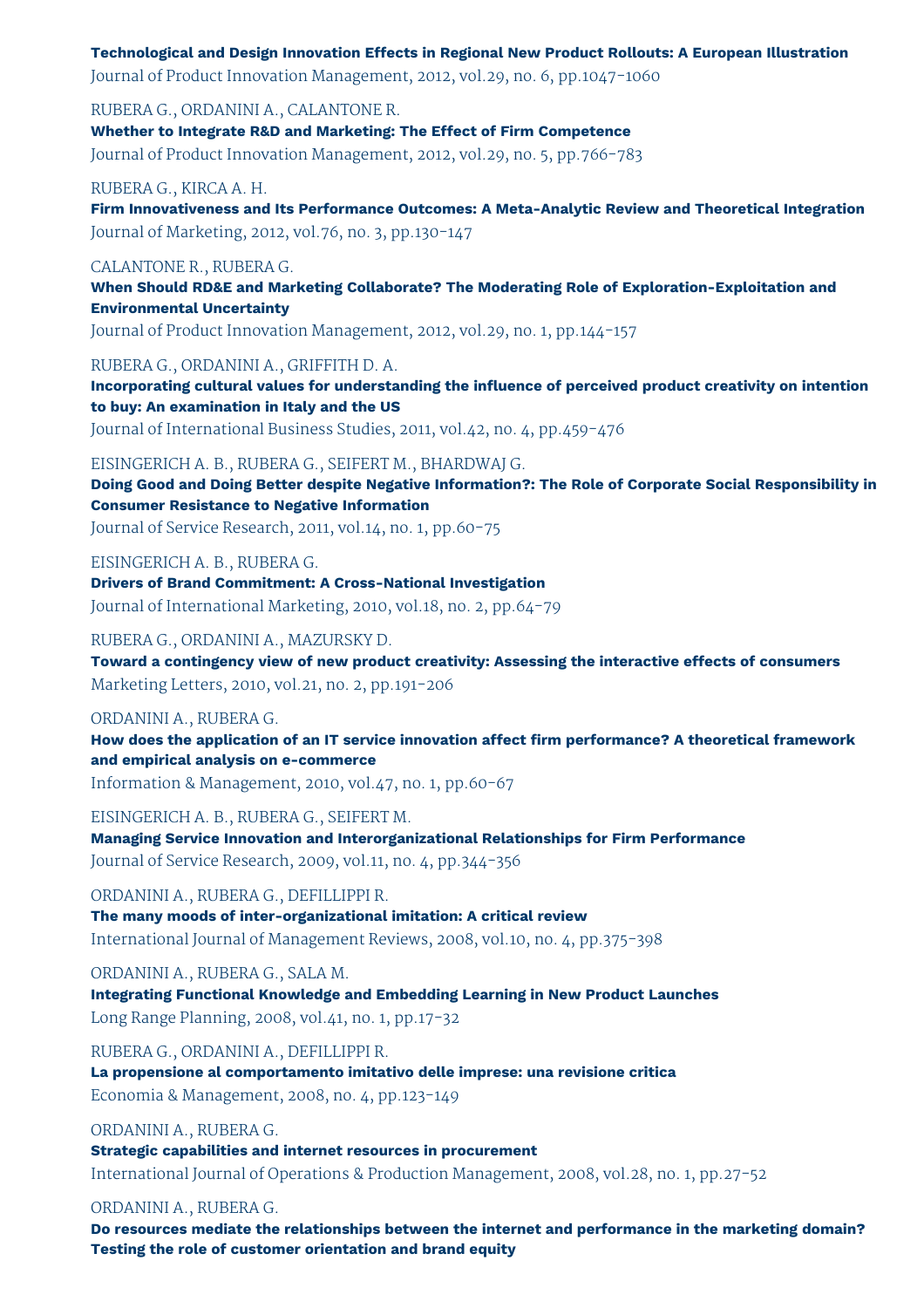# **Technological and Design Innovation Effects in Regional New Product Rollouts: A European Illustration**

Journal of Product Innovation Management, 2012, vol.29, no. 6, pp.1047-1060

RUBERA G., ORDANINI A., CALANTONE R. **Whether to Integrate R&D and Marketing: The Effect of Firm Competence** Journal of Product Innovation Management, 2012, vol.29, no. 5, pp.766-783

## RUBERA G., KIRCA A. H.

**Firm Innovativeness and Its Performance Outcomes: A Meta-Analytic Review and Theoretical Integration** Journal of Marketing, 2012, vol.76, no. 3, pp.130-147

# CALANTONE R., RUBERA G.

**When Should RD&E and Marketing Collaborate? The Moderating Role of Exploration-Exploitation and Environmental Uncertainty**

Journal of Product Innovation Management, 2012, vol.29, no. 1, pp.144-157

## RUBERA G., ORDANINI A., GRIFFITH D. A.

**Incorporating cultural values for understanding the influence of perceived product creativity on intention to buy: An examination in Italy and the US**

Journal of International Business Studies, 2011, vol.42, no. 4, pp.459-476

## EISINGERICH A. B., RUBERA G., SEIFERT M., BHARDWAJ G.

**Doing Good and Doing Better despite Negative Information?: The Role of Corporate Social Responsibility in Consumer Resistance to Negative Information**

Journal of Service Research, 2011, vol.14, no. 1, pp.60-75

# EISINGERICH A. B., RUBERA G.

**Drivers of Brand Commitment: A Cross-National Investigation** Journal of International Marketing, 2010, vol.18, no. 2, pp.64-79

## RUBERA G., ORDANINI A., MAZURSKY D.

**Toward a contingency view of new product creativity: Assessing the interactive effects of consumers** Marketing Letters, 2010, vol.21, no. 2, pp.191-206

#### ORDANINI A., RUBERA G.

**How does the application of an IT service innovation affect firm performance? A theoretical framework and empirical analysis on e-commerce**

Information & Management, 2010, vol.47, no. 1, pp.60-67

EISINGERICH A. B., RUBERA G., SEIFERT M.

**Managing Service Innovation and Interorganizational Relationships for Firm Performance** Journal of Service Research, 2009, vol.11, no. 4, pp.344-356

ORDANINI A., RUBERA G., DEFILLIPPI R.

**The many moods of inter-organizational imitation: A critical review** International Journal of Management Reviews, 2008, vol.10, no. 4, pp.375-398

ORDANINI A., RUBERA G., SALA M.

**Integrating Functional Knowledge and Embedding Learning in New Product Launches** Long Range Planning, 2008, vol.41, no. 1, pp.17-32

RUBERA G., ORDANINI A., DEFILLIPPI R.

**La propensione al comportamento imitativo delle imprese: una revisione critica** Economia & Management, 2008, no. 4, pp.123-149

# ORDANINI A., RUBERA G.

**Strategic capabilities and internet resources in procurement** International Journal of Operations & Production Management, 2008, vol.28, no. 1, pp.27-52

# ORDANINI A., RUBERA G.

**Do resources mediate the relationships between the internet and performance in the marketing domain? Testing the role of customer orientation and brand equity**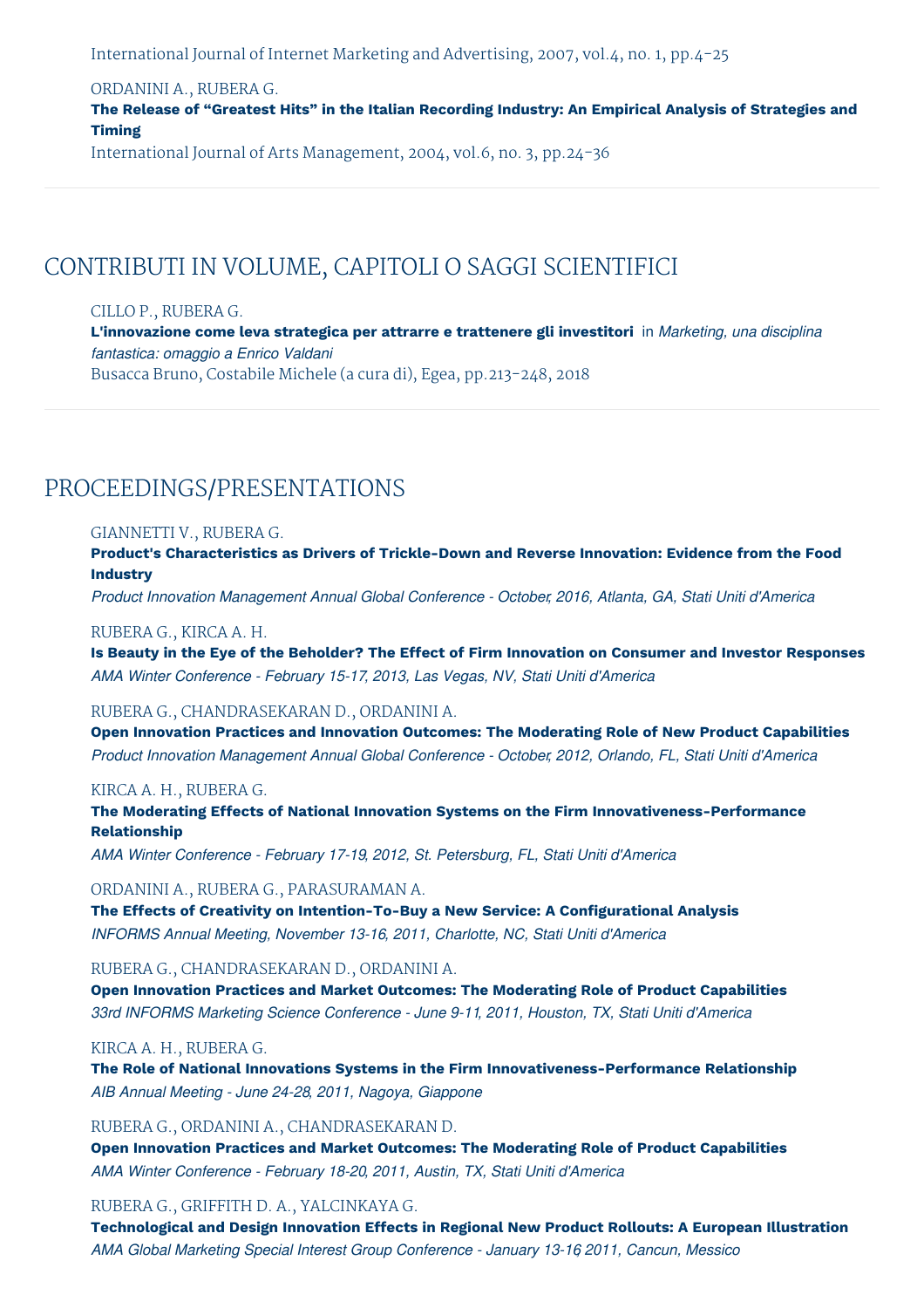International Journal of Internet Marketing and Advertising, 2007, vol.4, no. 1, pp.4-25

# ORDANINI A., RUBERA G.

**The Release of "Greatest Hits" in the Italian Recording Industry: An Empirical Analysis of Strategies and Timing**

International Journal of Arts Management, 2004, vol.6, no. 3, pp.24-36

# CONTRIBUTI IN VOLUME, CAPITOLI O SAGGI SCIENTIFICI

# CILLO P., RUBERA G.

**L'innovazione come leva strategica per attrarre e trattenere gli investitori** in *Marketing, una disciplina fantastica: omaggio a Enrico Valdani* Busacca Bruno, Costabile Michele (a cura di), Egea, pp.213-248, 2018

# PROCEEDINGS/PRESENTATIONS

## GIANNETTI V., RUBERA G.

**Product's Characteristics as Drivers of Trickle-Down and Reverse Innovation: Evidence from the Food Industry**

*Product Innovation Management Annual Global Conference - October, 2016, Atlanta, GA, Stati Uniti d'America*

#### RUBERA G., KIRCA A. H.

Is Beauty in the Eye of the Beholder? The Effect of Firm Innovation on Consumer and Investor Responses *AMA Winter Conference - February 15-17, 2013, Las Vegas, NV, Stati Uniti d'America*

# RUBERA G., CHANDRASEKARAN D., ORDANINI A.

**Open Innovation Practices and Innovation Outcomes: The Moderating Role of New Product Capabilities** *Product Innovation Management Annual Global Conference - October, 2012, Orlando, FL, Stati Uniti d'America*

# KIRCA A. H., RUBERA G.

**The Moderating Effects of National Innovation Systems on the Firm Innovativeness-Performance Relationship**

*AMA Winter Conference - February 17-19, 2012, St. Petersburg, FL, Stati Uniti d'America*

## ORDANINI A., RUBERA G., PARASURAMAN A.

**The Effects of Creativity on Intention-To-Buy a New Service: A Configurational Analysis** *INFORMS Annual Meeting, November 13-16, 2011, Charlotte, NC, Stati Uniti d'America*

## RUBERA G., CHANDRASEKARAN D., ORDANINI A.

**Open Innovation Practices and Market Outcomes: The Moderating Role of Product Capabilities** *33rd INFORMS Marketing Science Conference - June 9-11, 2011, Houston, TX, Stati Uniti d'America*

## KIRCA A. H., RUBERA G.

**The Role of National Innovations Systems in the Firm Innovativeness-Performance Relationship** *AIB Annual Meeting - June 24-28, 2011, Nagoya, Giappone*

# RUBERA G., ORDANINI A., CHANDRASEKARAN D.

**Open Innovation Practices and Market Outcomes: The Moderating Role of Product Capabilities** *AMA Winter Conference - February 18-20, 2011, Austin, TX, Stati Uniti d'America*

# RUBERA G., GRIFFITH D. A., YALCINKAYA G.

**Technological and Design Innovation Effects in Regional New Product Rollouts: A European Illustration** *AMA Global Marketing Special Interest Group Conference - January 13-16, 2011, Cancun, Messico*